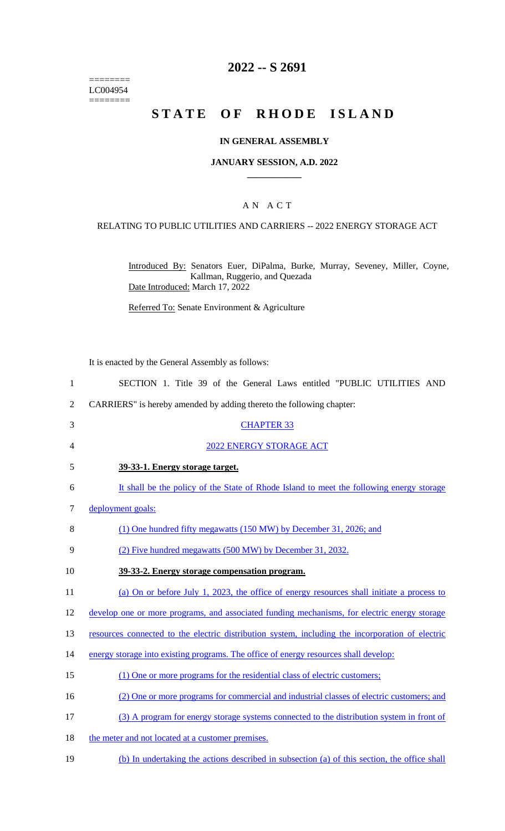======== LC004954  $=$ 

# **2022 -- S 2691**

# **STATE OF RHODE ISLAND**

## **IN GENERAL ASSEMBLY**

### **JANUARY SESSION, A.D. 2022 \_\_\_\_\_\_\_\_\_\_\_\_**

## A N A C T

## RELATING TO PUBLIC UTILITIES AND CARRIERS -- 2022 ENERGY STORAGE ACT

Introduced By: Senators Euer, DiPalma, Burke, Murray, Seveney, Miller, Coyne, Kallman, Ruggerio, and Quezada Date Introduced: March 17, 2022

Referred To: Senate Environment & Agriculture

It is enacted by the General Assembly as follows:

|                | It is chacted by the Ocheral Assembly as follows.                                                |
|----------------|--------------------------------------------------------------------------------------------------|
| $\mathbf{1}$   | SECTION 1. Title 39 of the General Laws entitled "PUBLIC UTILITIES AND                           |
| $\overline{2}$ | CARRIERS" is hereby amended by adding thereto the following chapter:                             |
| 3              | <b>CHAPTER 33</b>                                                                                |
| 4              | 2022 ENERGY STORAGE ACT                                                                          |
| 5              | 39-33-1. Energy storage target.                                                                  |
| 6              | It shall be the policy of the State of Rhode Island to meet the following energy storage         |
| 7              | deployment goals:                                                                                |
| 8              | (1) One hundred fifty megawatts (150 MW) by December 31, 2026; and                               |
| 9              | (2) Five hundred megawatts (500 MW) by December 31, 2032.                                        |
| 10             | 39-33-2. Energy storage compensation program.                                                    |
| 11             | (a) On or before July 1, 2023, the office of energy resources shall initiate a process to        |
| 12             | develop one or more programs, and associated funding mechanisms, for electric energy storage     |
| 13             | resources connected to the electric distribution system, including the incorporation of electric |
| 14             | energy storage into existing programs. The office of energy resources shall develop:             |
| 15             | (1) One or more programs for the residential class of electric customers;                        |
| 16             | (2) One or more programs for commercial and industrial classes of electric customers; and        |
| 17             | (3) A program for energy storage systems connected to the distribution system in front of        |
| 18             | the meter and not located at a customer premises.                                                |
| 19             | (b) In undertaking the actions described in subsection (a) of this section, the office shall     |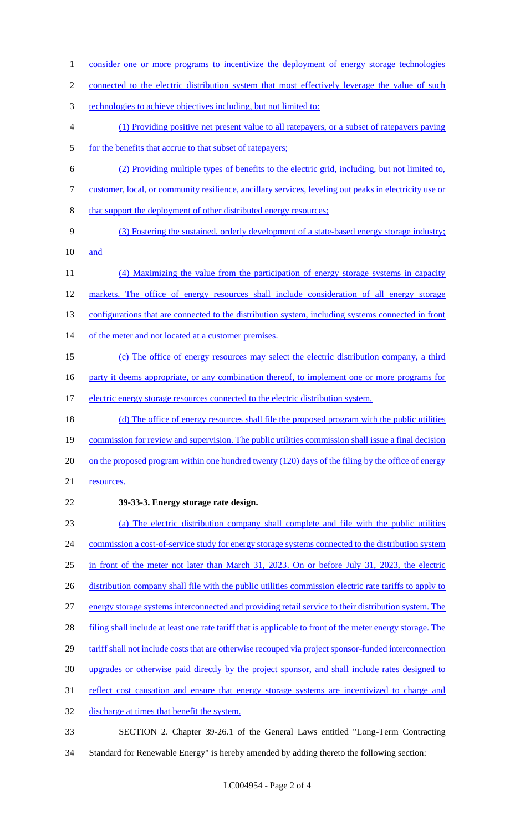1 consider one or more programs to incentivize the deployment of energy storage technologies 2 connected to the electric distribution system that most effectively leverage the value of such 3 technologies to achieve objectives including, but not limited to: 4 (1) Providing positive net present value to all ratepayers, or a subset of ratepayers paying 5 for the benefits that accrue to that subset of ratepayers; 6 (2) Providing multiple types of benefits to the electric grid, including, but not limited to, 7 customer, local, or community resilience, ancillary services, leveling out peaks in electricity use or 8 that support the deployment of other distributed energy resources; 9 (3) Fostering the sustained, orderly development of a state-based energy storage industry; 10 and 11 (4) Maximizing the value from the participation of energy storage systems in capacity 12 markets. The office of energy resources shall include consideration of all energy storage 13 configurations that are connected to the distribution system, including systems connected in front 14 of the meter and not located at a customer premises. 15 (c) The office of energy resources may select the electric distribution company, a third 16 party it deems appropriate, or any combination thereof, to implement one or more programs for 17 electric energy storage resources connected to the electric distribution system. 18 (d) The office of energy resources shall file the proposed program with the public utilities 19 commission for review and supervision. The public utilities commission shall issue a final decision 20 on the proposed program within one hundred twenty (120) days of the filing by the office of energy 21 resources. 22 **39-33-3. Energy storage rate design.**  23 (a) The electric distribution company shall complete and file with the public utilities 24 commission a cost-of-service study for energy storage systems connected to the distribution system 25 in front of the meter not later than March 31, 2023. On or before July 31, 2023, the electric 26 distribution company shall file with the public utilities commission electric rate tariffs to apply to 27 energy storage systems interconnected and providing retail service to their distribution system. The 28 filing shall include at least one rate tariff that is applicable to front of the meter energy storage. The 29 tariff shall not include costs that are otherwise recouped via project sponsor-funded interconnection 30 upgrades or otherwise paid directly by the project sponsor, and shall include rates designed to 31 reflect cost causation and ensure that energy storage systems are incentivized to charge and 32 discharge at times that benefit the system. 33 SECTION 2. Chapter 39-26.1 of the General Laws entitled "Long-Term Contracting 34 Standard for Renewable Energy" is hereby amended by adding thereto the following section: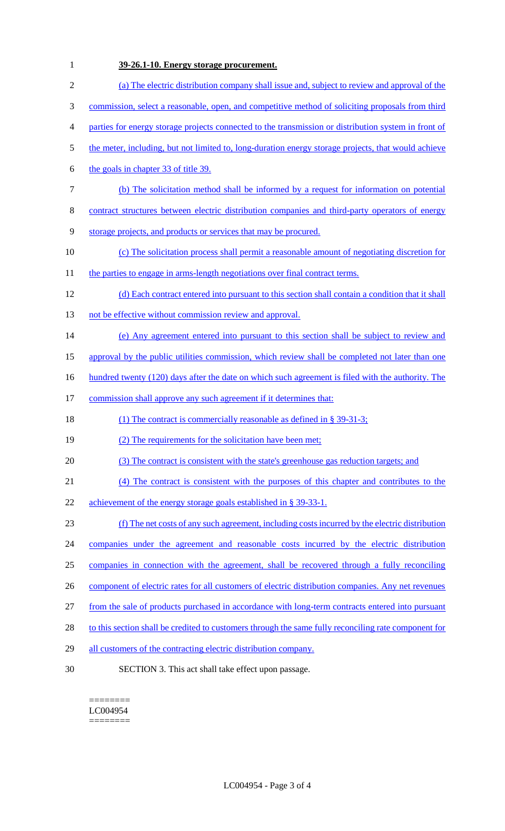# **39-26.1-10. Energy storage procurement.**

| $\overline{2}$ | (a) The electric distribution company shall issue and, subject to review and approval of the         |
|----------------|------------------------------------------------------------------------------------------------------|
| 3              | commission, select a reasonable, open, and competitive method of soliciting proposals from third     |
| $\overline{4}$ | parties for energy storage projects connected to the transmission or distribution system in front of |
| 5              | the meter, including, but not limited to, long-duration energy storage projects, that would achieve  |
| 6              | the goals in chapter 33 of title 39.                                                                 |
| 7              | (b) The solicitation method shall be informed by a request for information on potential              |
| 8              | contract structures between electric distribution companies and third-party operators of energy      |
| 9              | storage projects, and products or services that may be procured.                                     |
| 10             | (c) The solicitation process shall permit a reasonable amount of negotiating discretion for          |
| 11             | the parties to engage in arms-length negotiations over final contract terms.                         |
| 12             | (d) Each contract entered into pursuant to this section shall contain a condition that it shall      |
| 13             | not be effective without commission review and approval.                                             |
| 14             | (e) Any agreement entered into pursuant to this section shall be subject to review and               |
| 15             | approval by the public utilities commission, which review shall be completed not later than one      |
| 16             | hundred twenty (120) days after the date on which such agreement is filed with the authority. The    |
| 17             | commission shall approve any such agreement if it determines that:                                   |
| 18             | (1) The contract is commercially reasonable as defined in $\S$ 39-31-3;                              |
| 19             | (2) The requirements for the solicitation have been met;                                             |
| 20             | (3) The contract is consistent with the state's greenhouse gas reduction targets; and                |
| 21             | (4) The contract is consistent with the purposes of this chapter and contributes to the              |
| 22             | achievement of the energy storage goals established in § 39-33-1.                                    |
| 23             | (f) The net costs of any such agreement, including costs incurred by the electric distribution       |
| 24             | companies under the agreement and reasonable costs incurred by the electric distribution             |
| 25             | companies in connection with the agreement, shall be recovered through a fully reconciling           |
| 26             | component of electric rates for all customers of electric distribution companies. Any net revenues   |
| 27             | from the sale of products purchased in accordance with long-term contracts entered into pursuant     |
| 28             | to this section shall be credited to customers through the same fully reconciling rate component for |
| 29             | all customers of the contracting electric distribution company.                                      |
| 30             | SECTION 3. This act shall take effect upon passage.                                                  |
|                |                                                                                                      |

======== LC004954  $=$